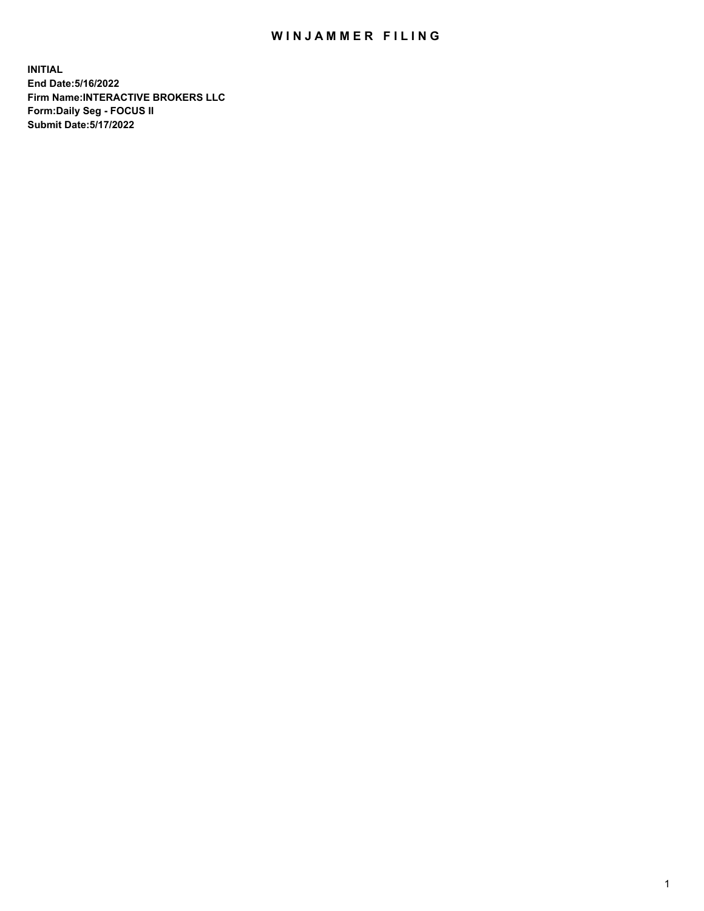## WIN JAMMER FILING

**INITIAL End Date:5/16/2022 Firm Name:INTERACTIVE BROKERS LLC Form:Daily Seg - FOCUS II Submit Date:5/17/2022**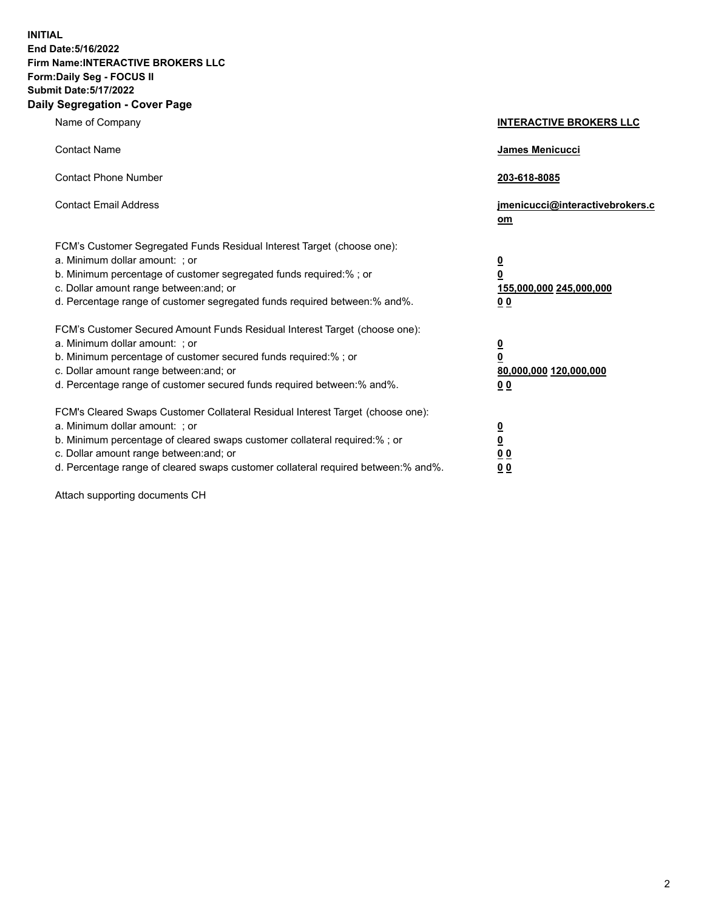**INITIAL End Date:5/16/2022 Firm Name:INTERACTIVE BROKERS LLC Form:Daily Seg - FOCUS II Submit Date:5/17/2022 Daily Segregation - Cover Page**

| Name of Company                                                                                                                                                                                                                                                                                                               | <b>INTERACTIVE BROKERS LLC</b>                                                                  |
|-------------------------------------------------------------------------------------------------------------------------------------------------------------------------------------------------------------------------------------------------------------------------------------------------------------------------------|-------------------------------------------------------------------------------------------------|
| <b>Contact Name</b>                                                                                                                                                                                                                                                                                                           | James Menicucci                                                                                 |
| <b>Contact Phone Number</b>                                                                                                                                                                                                                                                                                                   | 203-618-8085                                                                                    |
| <b>Contact Email Address</b>                                                                                                                                                                                                                                                                                                  | jmenicucci@interactivebrokers.c<br><u>om</u>                                                    |
| FCM's Customer Segregated Funds Residual Interest Target (choose one):<br>a. Minimum dollar amount: ; or<br>b. Minimum percentage of customer segregated funds required:% ; or<br>c. Dollar amount range between: and; or<br>d. Percentage range of customer segregated funds required between:% and%.                        | $\overline{\mathbf{0}}$<br>$\overline{\mathbf{0}}$<br>155,000,000 245,000,000<br>0 <sub>0</sub> |
| FCM's Customer Secured Amount Funds Residual Interest Target (choose one):<br>a. Minimum dollar amount: ; or<br>b. Minimum percentage of customer secured funds required:%; or<br>c. Dollar amount range between: and; or<br>d. Percentage range of customer secured funds required between:% and%.                           | $\overline{\mathbf{0}}$<br>$\overline{\mathbf{0}}$<br>80,000,000 120,000,000<br>0 <sub>0</sub>  |
| FCM's Cleared Swaps Customer Collateral Residual Interest Target (choose one):<br>a. Minimum dollar amount: ; or<br>b. Minimum percentage of cleared swaps customer collateral required:%; or<br>c. Dollar amount range between: and; or<br>d. Percentage range of cleared swaps customer collateral required between:% and%. | $\overline{\mathbf{0}}$<br>$\overline{\mathbf{0}}$<br>0 <sub>0</sub><br>0 <sub>0</sub>          |

Attach supporting documents CH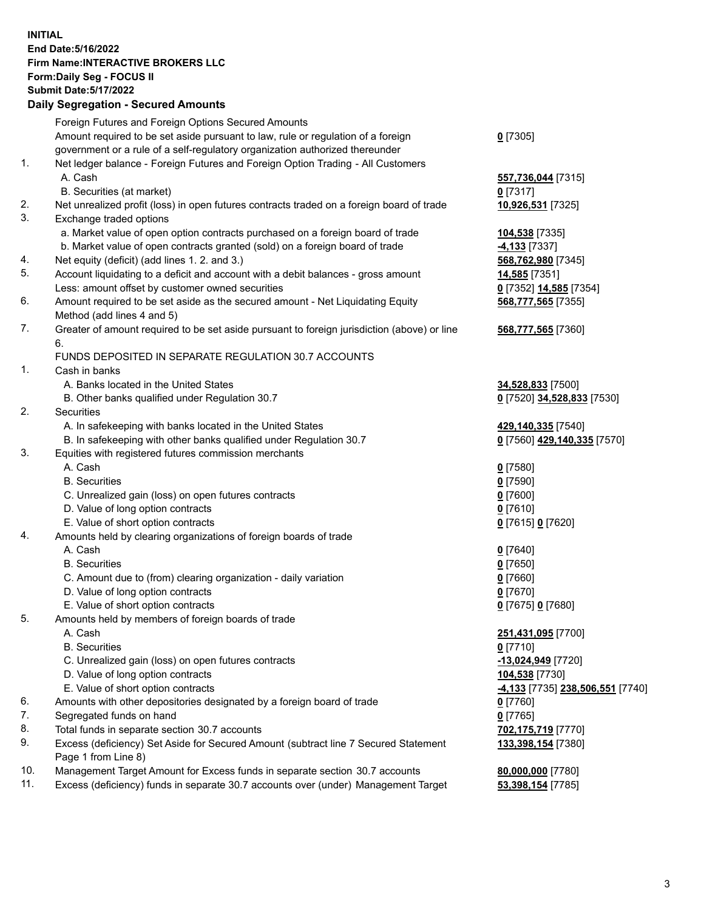**INITIAL End Date:5/16/2022 Firm Name:INTERACTIVE BROKERS LLC Form:Daily Seg - FOCUS II Submit Date:5/17/2022 Daily Segregation - Secured Amounts**

|     | Foreign Futures and Foreign Options Secured Amounts                                                        |                                 |
|-----|------------------------------------------------------------------------------------------------------------|---------------------------------|
|     | Amount required to be set aside pursuant to law, rule or regulation of a foreign                           | $0$ [7305]                      |
|     | government or a rule of a self-regulatory organization authorized thereunder                               |                                 |
| 1.  | Net ledger balance - Foreign Futures and Foreign Option Trading - All Customers                            |                                 |
|     | A. Cash                                                                                                    | 557,736,044 [7315]              |
|     | B. Securities (at market)                                                                                  | $0$ [7317]                      |
| 2.  | Net unrealized profit (loss) in open futures contracts traded on a foreign board of trade                  | 10,926,531 [7325]               |
| 3.  | Exchange traded options                                                                                    |                                 |
|     | a. Market value of open option contracts purchased on a foreign board of trade                             | 104,538 [7335]                  |
|     | b. Market value of open contracts granted (sold) on a foreign board of trade                               | <b>4,133</b> [7337]             |
| 4.  | Net equity (deficit) (add lines 1. 2. and 3.)                                                              | 568,762,980 [7345]              |
| 5.  | Account liquidating to a deficit and account with a debit balances - gross amount                          | 14,585 [7351]                   |
|     | Less: amount offset by customer owned securities                                                           | 0 [7352] 14,585 [7354]          |
| 6.  | Amount required to be set aside as the secured amount - Net Liquidating Equity                             | 568,777,565 [7355]              |
|     | Method (add lines 4 and 5)                                                                                 |                                 |
| 7.  | Greater of amount required to be set aside pursuant to foreign jurisdiction (above) or line                | 568,777,565 [7360]              |
|     | 6.                                                                                                         |                                 |
|     | FUNDS DEPOSITED IN SEPARATE REGULATION 30.7 ACCOUNTS                                                       |                                 |
| 1.  | Cash in banks                                                                                              |                                 |
|     | A. Banks located in the United States                                                                      | 34,528,833 [7500]               |
|     | B. Other banks qualified under Regulation 30.7                                                             | 0 [7520] 34,528,833 [7530]      |
| 2.  | <b>Securities</b>                                                                                          |                                 |
|     | A. In safekeeping with banks located in the United States                                                  | 429,140,335 [7540]              |
|     | B. In safekeeping with other banks qualified under Regulation 30.7                                         | 0 [7560] 429,140,335 [7570]     |
| 3.  | Equities with registered futures commission merchants                                                      |                                 |
|     | A. Cash                                                                                                    | $0$ [7580]                      |
|     | <b>B.</b> Securities                                                                                       | $0$ [7590]                      |
|     | C. Unrealized gain (loss) on open futures contracts                                                        | $0$ [7600]                      |
|     | D. Value of long option contracts                                                                          | $0$ [7610]                      |
|     | E. Value of short option contracts                                                                         | 0 [7615] 0 [7620]               |
| 4.  | Amounts held by clearing organizations of foreign boards of trade                                          |                                 |
|     | A. Cash                                                                                                    | $0$ [7640]                      |
|     | <b>B.</b> Securities                                                                                       | $0$ [7650]                      |
|     | C. Amount due to (from) clearing organization - daily variation                                            | $0$ [7660]                      |
|     | D. Value of long option contracts                                                                          | $0$ [7670]                      |
|     | E. Value of short option contracts                                                                         | 0 [7675] 0 [7680]               |
| 5.  | Amounts held by members of foreign boards of trade                                                         |                                 |
|     | A. Cash                                                                                                    | 251,431,095 [7700]              |
|     | <b>B.</b> Securities                                                                                       | $0$ [7710]                      |
|     | C. Unrealized gain (loss) on open futures contracts                                                        | -13,024,949 [7720]              |
|     | D. Value of long option contracts                                                                          | 104,538 [7730]                  |
|     | E. Value of short option contracts                                                                         | 4,133 [7735] 238,506,551 [7740] |
| 6.  | Amounts with other depositories designated by a foreign board of trade                                     | $0$ [7760]                      |
| 7.  | Segregated funds on hand                                                                                   | $0$ [7765]                      |
| 8.  | Total funds in separate section 30.7 accounts                                                              | 702,175,719 [7770]              |
| 9.  | Excess (deficiency) Set Aside for Secured Amount (subtract line 7 Secured Statement<br>Page 1 from Line 8) | 133,398,154 [7380]              |
| 10. | Management Target Amount for Excess funds in separate section 30.7 accounts                                | 80,000,000 [7780]               |
| 11. | Excess (deficiency) funds in separate 30.7 accounts over (under) Management Target                         | 53,398,154 [7785]               |
|     |                                                                                                            |                                 |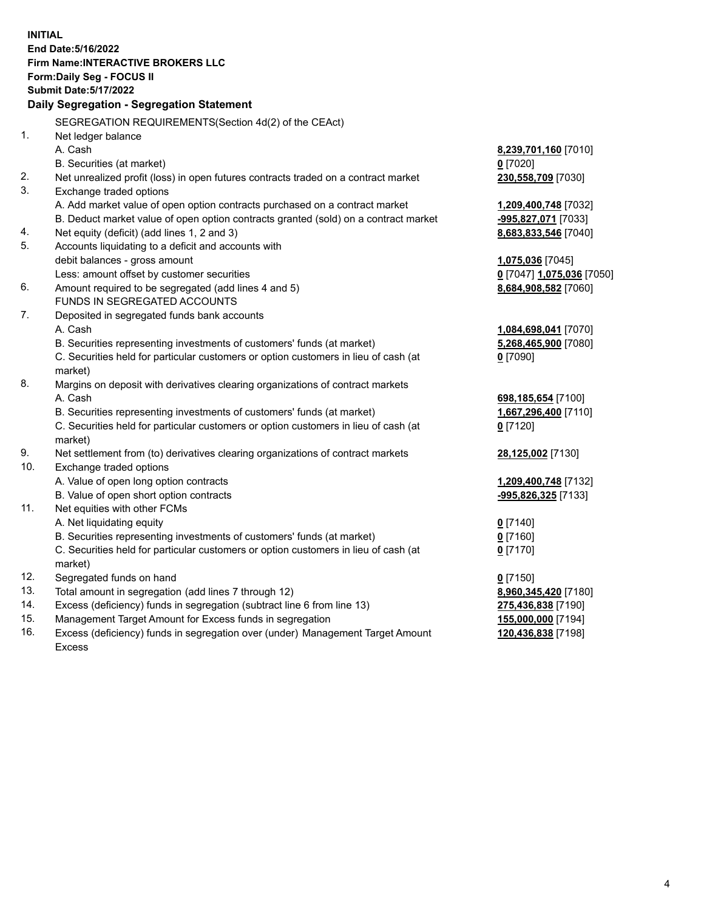**INITIAL End Date:5/16/2022 Firm Name:INTERACTIVE BROKERS LLC Form:Daily Seg - FOCUS II Submit Date:5/17/2022 Daily Segregation - Segregation Statement** SEGREGATION REQUIREMENTS(Section 4d(2) of the CEAct) 1. Net ledger balance A. Cash **8,239,701,160** [7010] B. Securities (at market) **0** [7020] 2. Net unrealized profit (loss) in open futures contracts traded on a contract market **230,558,709** [7030] 3. Exchange traded options A. Add market value of open option contracts purchased on a contract market **1,209,400,748** [7032] B. Deduct market value of open option contracts granted (sold) on a contract market **-995,827,071** [7033] 4. Net equity (deficit) (add lines 1, 2 and 3) **8,683,833,546** [7040] 5. Accounts liquidating to a deficit and accounts with debit balances - gross amount **1,075,036** [7045] Less: amount offset by customer securities **0** [7047] **1,075,036** [7050] 6. Amount required to be segregated (add lines 4 and 5) **8,684,908,582** [7060] FUNDS IN SEGREGATED ACCOUNTS 7. Deposited in segregated funds bank accounts A. Cash **1,084,698,041** [7070] B. Securities representing investments of customers' funds (at market) **5,268,465,900** [7080] C. Securities held for particular customers or option customers in lieu of cash (at market) **0** [7090] 8. Margins on deposit with derivatives clearing organizations of contract markets A. Cash **698,185,654** [7100] B. Securities representing investments of customers' funds (at market) **1,667,296,400** [7110] C. Securities held for particular customers or option customers in lieu of cash (at market) **0** [7120] 9. Net settlement from (to) derivatives clearing organizations of contract markets **28,125,002** [7130] 10. Exchange traded options A. Value of open long option contracts **1,209,400,748** [7132] B. Value of open short option contracts **-995,826,325** [7133] 11. Net equities with other FCMs A. Net liquidating equity **0** [7140] B. Securities representing investments of customers' funds (at market) **0** [7160] C. Securities held for particular customers or option customers in lieu of cash (at market) **0** [7170] 12. Segregated funds on hand **0** [7150] 13. Total amount in segregation (add lines 7 through 12) **8,960,345,420** [7180] 14. Excess (deficiency) funds in segregation (subtract line 6 from line 13) **275,436,838** [7190] 15. Management Target Amount for Excess funds in segregation **155,000,000** [7194] 16. Excess (deficiency) funds in segregation over (under) Management Target Amount **120,436,838** [7198]

Excess